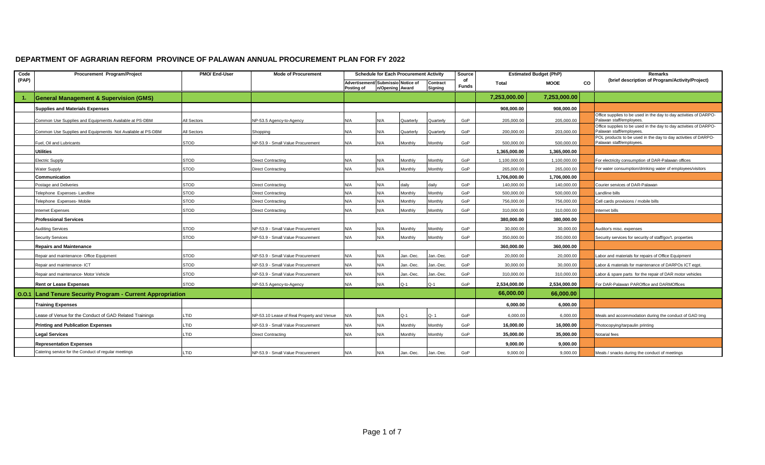## **DEPARTMENT OF AGRARIAN REFORM PROVINCE OF PALAWAN ANNUAL PROCUREMENT PLAN FOR FY 2022**

| Code  | Procurement Program/Project                                 | PMO/ End-User | <b>Mode of Procurement</b>                | <b>Schedule for Each Procurement Activity</b>    |                 |           | Source              |                    | <b>Estimated Budget (PhP)</b> |              | Remarks   |                                                                                               |
|-------|-------------------------------------------------------------|---------------|-------------------------------------------|--------------------------------------------------|-----------------|-----------|---------------------|--------------------|-------------------------------|--------------|-----------|-----------------------------------------------------------------------------------------------|
| (PAP) |                                                             |               |                                           | Advertisement/ Submissio Notice of<br>Posting of | n/Opening Award |           | Contract<br>Signing | of<br><b>Funds</b> | Total                         | <b>MOOE</b>  | <b>CO</b> | (brief description of Program/Activity/Project)                                               |
|       | <b>General Management &amp; Supervision (GMS)</b>           |               |                                           |                                                  |                 |           |                     |                    | 7,253,000.00                  | 7,253,000.00 |           |                                                                                               |
|       | <b>Supplies and Materials Expenses</b>                      |               |                                           |                                                  |                 |           |                     |                    | 908.000.00                    | 908,000.00   |           |                                                                                               |
|       | Common Use Supplies and Equipmentts Available at PS-DBM     | All Sectors   | NP-53.5 Agency-to-Agency                  | N/A                                              | N/A             | Quarterly | Quarterly           | GoP                | 205,000.00                    | 205,000.00   |           | Office supplies to be used in the day to day activities of DARPO-<br>Palawan staff/employees. |
|       | Common Use Supplies and Equipmentts Not Available at PS-DBM | All Sectors   | Shopping                                  | N/A                                              | N/A             | Quarterly | Quarterly           | GoP                | 200,000.00                    | 203,000.00   |           | Office supplies to be used in the day to day activities of DARPO-<br>Palawan staff/employees  |
|       | Fuel. Oil and Lubricants                                    | <b>STOD</b>   | NP-53.9 - Small Value Procurement         | N/A                                              | N/A             | Monthly   | Monthly             | GoP                | 500.000.00                    | 500.000.00   |           | POL products to be used in the day to day activities of DARPO-<br>Palawan staff/employees.    |
|       | <b>Utilities</b>                                            |               |                                           |                                                  |                 |           |                     |                    | 1,365,000.00                  | 1,365,000.00 |           |                                                                                               |
|       | <b>Electric Supply</b>                                      | <b>STOD</b>   | <b>Direct Contracting</b>                 | N/A                                              | N/A             | Monthly   | Monthly             | GoP                | 1,100,000.00                  | 1,100,000.00 |           | For electricity consumption of DAR-Palawan offices                                            |
|       | <b>Water Supply</b>                                         | STOD          | <b>Direct Contracting</b>                 | N/A                                              | N/A             | Monthly   | Monthly             | GoP                | 265,000.00                    | 265,000.00   |           | For water consumption/drinking water of employees/visitors                                    |
|       | Communication                                               |               |                                           |                                                  |                 |           |                     |                    | 1,706,000.00                  | 1,706,000.00 |           |                                                                                               |
|       | Postage and Deliveries                                      | STOD          | Direct Contracting                        | N/A                                              | N/A             | daily     | daily               | GoP                | 140,000.00                    | 140,000.00   |           | Courier services of DAR-Palawan                                                               |
|       | Telephone Expenses-Landline                                 | <b>STOD</b>   | <b>Direct Contracting</b>                 | N/A                                              | N/A             | Monthly   | Monthly             | GoP                | 500,000.00                    | 500,000.00   |           | andline bills                                                                                 |
|       | Telephone Expenses- Mobile                                  | <b>STOD</b>   | <b>Direct Contracting</b>                 | N/A                                              | N/A             | Monthly   | <b>Monthly</b>      | GoP                | 756,000.00                    | 756,000.00   |           | Cell cards provisions / mobile bills                                                          |
|       | Internet Expenses                                           | <b>STOD</b>   | <b>Direct Contracting</b>                 | N/A                                              | N/A             | Monthly   | Monthly             | GoP                | 310.000.00                    | 310,000.00   |           | nternet bills                                                                                 |
|       | <b>Professional Services</b>                                |               |                                           |                                                  |                 |           |                     |                    | 380.000.00                    | 380.000.00   |           |                                                                                               |
|       | <b>Auditing Services</b>                                    | STOD          | NP-53.9 - Small Value Procurement         | N/A                                              | N/A             | Monthly   | Monthly             | GoP                | 30,000.00                     | 30,000.00    |           | Auditor's misc. expenses                                                                      |
|       | <b>Security Services</b>                                    | <b>STOD</b>   | NP-53.9 - Small Value Procurement         | N/A                                              | N/A             | Monthly   | Monthly             | GoP                | 350,000.00                    | 350,000.00   |           | Security services for security of staff/gov't. properties                                     |
|       | <b>Repairs and Maintenance</b>                              |               |                                           |                                                  |                 |           |                     |                    | 360,000.00                    | 360,000.00   |           |                                                                                               |
|       | Repair and maintenance- Office Equipment                    | <b>STOD</b>   | NP-53.9 - Small Value Procurement         | N/A                                              | N/A             | Jan.-Dec. | Jan.-Dec.           | GoP                | 20,000.00                     | 20,000.00    |           | abor and materials for repairs of Office Equipment                                            |
|       | Repair and maintenance- ICT                                 | <b>STOD</b>   | NP-53.9 - Small Value Procurement         | N/A                                              | N/A             | Jan.-Dec. | Jan.-Dec.           | GoP                | 30.000.00                     | 30,000.00    |           | abor & materials for maintenance of DARPOs ICT eqpt.                                          |
|       | Repair and maintenance- Motor Vehicle                       | <b>STOD</b>   | NP-53.9 - Small Value Procurement         | N/A                                              | N/A             | Jan.-Dec  | Jan.-Dec.           | GoP                | 310.000.00                    | 310.000.00   |           | abor & spare parts for the repair of DAR motor vehicles                                       |
|       | <b>Rent or Lease Expenses</b>                               | <b>STOD</b>   | NP-53.5 Agency-to-Agency                  | N/A                                              | N/A             | $Q-1$     | $Q-1$               | GoP                | 2,534,000.00                  | 2,534,000.00 |           | For DAR-Palawan PAROffice and DARMOffices                                                     |
|       | 0.0.1 Land Tenure Security Program - Current Appropriation  |               |                                           |                                                  |                 |           |                     |                    | 66,000.00                     | 66,000.00    |           |                                                                                               |
|       | <b>Training Expenses</b>                                    |               |                                           |                                                  |                 |           |                     |                    | 6,000.00                      | 6,000.00     |           |                                                                                               |
|       | Lease of Venue for the Conduct of GAD Related Trainings     | LTID          | NP-53.10 Lease of Real Property and Venue | N/A                                              | N/A             | $Q-1$     | Q-1                 | GoP                | 6,000.00                      | 6,000.00     |           | Meals and accommodation during the conduct of GAD trng                                        |
|       | <b>Printing and Publication Expenses</b>                    | LTID          | NP-53.9 - Small Value Procurement         | N/A                                              | N/A             | Monthly   | Monthly             | GoP                | 16.000.00                     | 16,000.00    |           | Photocopying/tarpaulin printing                                                               |
|       | <b>Legal Services</b>                                       | LTID          | <b>Direct Contracting</b>                 | N/A                                              | N/A             | Monthly   | Monthly             | GoP                | 35,000.00                     | 35,000.00    |           | Notarial fees                                                                                 |
|       | <b>Representation Expenses</b>                              |               |                                           |                                                  |                 |           |                     |                    | 9,000.00                      | 9,000.00     |           |                                                                                               |
|       | Catering service for the Conduct of regular meetings        | LTID          | NP-53.9 - Small Value Procurement         | N/A                                              | N/A             | Jan.-Dec. | Jan.-Dec.           | GoP                | 9,000.00                      | 9.000.00     |           | Meals / snacks during the conduct of meetings                                                 |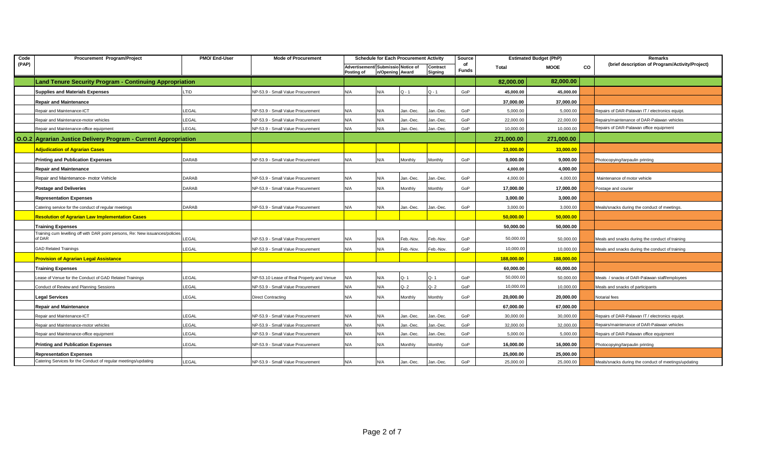| Code  | Procurement Program/Project                                                             | PMO/ End-User | <b>Mode of Procurement</b>                |                                                  |                 | <b>Schedule for Each Procurement Activity</b> |                     | Source      |            | <b>Estimated Budget (PhP)</b> |    | Remarks                                              |
|-------|-----------------------------------------------------------------------------------------|---------------|-------------------------------------------|--------------------------------------------------|-----------------|-----------------------------------------------|---------------------|-------------|------------|-------------------------------|----|------------------------------------------------------|
| (PAP) |                                                                                         |               |                                           | Advertisement/ Submissio Notice of<br>Posting of | n/Opening Award |                                               | Contract<br>Signing | of<br>Funds | Total      | MOOE                          | CO | (brief description of Program/Activity/Project)      |
|       | <b>Land Tenure Security Program - Continuing Appropriation</b>                          |               |                                           |                                                  |                 |                                               |                     |             | 82,000.00  | 82,000.00                     |    |                                                      |
|       | <b>Supplies and Materials Expenses</b>                                                  | LTID          | NP-53.9 - Small Value Procurement         | N/A                                              | N/A             | $Q - 1$                                       | $Q - 1$             | GoP         | 45,000.00  | 45,000.00                     |    |                                                      |
|       | <b>Repair and Maintenance</b>                                                           |               |                                           |                                                  |                 |                                               |                     |             | 37,000.00  | 37,000.00                     |    |                                                      |
|       | Repair and Maintenance-ICT                                                              | LEGAL         | NP-53.9 - Small Value Procurement         | N/A                                              | N/A             | Jan.-Dec.                                     | Jan.-Dec.           | GoP         | 5,000.00   | 5,000.00                      |    | Repairs of DAR-Palawan IT / electronics equipt.      |
|       | Repair and Maintenance-motor vehicles                                                   | LEGAL         | NP-53.9 - Small Value Procurement         | N/A                                              | N/A             | Jan.-Dec.                                     | Jan.-Dec.           | GoP         | 22,000.00  | 22,000.00                     |    | Repairs/maintenance of DAR-Palawan vehicles          |
|       | Repair and Maintenance-office equipment                                                 | LEGAL         | NP-53.9 - Small Value Procurement         | N/A                                              | N/A             | Jan.-Dec.                                     | Jan.-Dec.           | GoP         | 10,000.00  | 10,000.00                     |    | Repairs of DAR-Palawan office equipment              |
|       | <b>O.O.2 Agrarian Justice Delivery Program - Current Appropriation</b>                  |               |                                           |                                                  |                 |                                               |                     |             | 271,000.00 | 271,000.00                    |    |                                                      |
|       | <b>Adjudication of Agrarian Cases</b>                                                   |               |                                           |                                                  |                 |                                               |                     |             | 33,000.00  | 33,000.00                     |    |                                                      |
|       | <b>Printing and Publication Expenses</b>                                                | <b>DARAB</b>  | NP-53.9 - Small Value Procurement         | N/A                                              | N/A             | Monthly                                       | Monthly             | GoP         | 9,000.00   | 9,000.00                      |    | Photocopying/tarpaulin printing                      |
|       | <b>Repair and Maintenance</b>                                                           |               |                                           |                                                  |                 |                                               |                     |             | 4.000.00   | 4,000.00                      |    |                                                      |
|       | Repair and Maintenance- motor Vehicle                                                   | <b>DARAB</b>  | NP-53.9 - Small Value Procurement         | N/A                                              | N/A             | Jan.-Dec.                                     | Jan.-Dec.           | GoP         | 4,000.00   | 4,000.00                      |    | Maintenance of motor vehicle                         |
|       | <b>Postage and Deliveries</b>                                                           | <b>DARAB</b>  | NP-53.9 - Small Value Procurement         | N/A                                              | N/A             | Monthly                                       | Monthly             | GoP         | 17,000.00  | 17,000.00                     |    | Postage and courier                                  |
|       | <b>Representation Expenses</b>                                                          |               |                                           |                                                  |                 |                                               |                     |             | 3,000.00   | 3,000.00                      |    |                                                      |
|       | Catering service for the conduct of regular meetings                                    | <b>DARAB</b>  | NP-53.9 - Small Value Procurement         | N/A                                              | N/A             | Jan.-Dec.                                     | Jan.-Dec.           | GoP         | 3,000.00   | 3,000.00                      |    | Meals/snacks during the conduct of meetings.         |
|       | <b>Resolution of Agrarian Law Implementation Cases</b>                                  |               |                                           |                                                  |                 |                                               |                     |             | 50,000.00  | 50,000.00                     |    |                                                      |
|       | <b>Training Expenses</b>                                                                |               |                                           |                                                  |                 |                                               |                     |             | 50,000.00  | 50,000.00                     |    |                                                      |
|       | Training cum levelling off with DAR point persons, Re: New issuances/policies<br>of DAR | LEGAL         | NP-53.9 - Small Value Procurement         | N/A                                              | N/A             | Feb.-Nov.                                     | Feb.-Nov.           | GoP         | 50,000.00  | 50,000.00                     |    | Meals and snacks during the conduct of training      |
|       | <b>GAD Related Trainings</b>                                                            | LEGAL         | NP-53.9 - Small Value Procurement         | N/A                                              | N/A             | Feb.-Nov.                                     | Feb.-Nov.           | GoP         | 10,000.00  | 10,000.00                     |    | Meals and snacks during the conduct of training      |
|       | <b>Provision of Agrarian Legal Assistance</b>                                           |               |                                           |                                                  |                 |                                               |                     |             | 188,000.00 | 188,000.00                    |    |                                                      |
|       | <b>Training Expenses</b>                                                                |               |                                           |                                                  |                 |                                               |                     |             | 60,000.00  | 60,000.00                     |    |                                                      |
|       | ease of Venue for the Conduct of GAD Related Trainings                                  | LEGAL         | NP-53.10 Lease of Real Property and Venue | N/A                                              | N/A             | Q-1                                           | $Q - 1$             | GoP         | 50,000.00  | 50,000.00                     |    | Meals / snacks of DAR-Palawan staff/employees        |
|       | Conduct of Review and Planning Sessions                                                 | LEGAL         | NP-53.9 - Small Value Procurement         | N/A                                              | N/A             | Q- 2                                          | $Q - 2$             | GoP         | 10,000.00  | 10,000.00                     |    | Meals and snacks of participants                     |
|       | <b>Legal Services</b>                                                                   | LEGAL         | <b>Direct Contracting</b>                 | N/A                                              | N/A             | Monthly                                       | Monthly             | GoP         | 20,000.00  | 20,000.00                     |    | Notarial fees                                        |
|       | <b>Repair and Maintenance</b>                                                           |               |                                           |                                                  |                 |                                               |                     |             | 67,000.00  | 67,000.00                     |    |                                                      |
|       | Repair and Maintenance-ICT                                                              | LEGAL         | NP-53.9 - Small Value Procurement         | N/A                                              | N/A             | Jan.-Dec.                                     | Jan.-Dec.           | GoP         | 30,000.00  | 30,000.00                     |    | Repairs of DAR-Palawan IT / electronics equipt.      |
|       | Repair and Maintenance-motor vehicles                                                   | LEGAL         | NP-53.9 - Small Value Procurement         | N/A                                              | N/A             | Jan.-Dec.                                     | Jan.-Dec.           | GoP         | 32,000.00  | 32,000.00                     |    | Repairs/maintenance of DAR-Palawan vehicles          |
|       | Repair and Maintenance-office equipment                                                 | LEGAL         | NP-53.9 - Small Value Procurement         | N/A                                              | N/A             | Jan.-Dec.                                     | Jan.-Dec.           | GoP         | 5,000.00   | 5,000.00                      |    | Repairs of DAR-Palawan office equipment              |
|       | <b>Printing and Publication Expenses</b>                                                | LEGAL         | NP-53.9 - Small Value Procurement         | N/A                                              | N/A             | Monthly                                       | Monthly             | GoP         | 16,000.00  | 16,000.00                     |    | Photocopying/tarpaulin printing                      |
|       | <b>Representation Expenses</b>                                                          |               |                                           |                                                  |                 |                                               |                     |             | 25,000.00  | 25,000.00                     |    |                                                      |
|       | Catering Services for the Conduct of regular meetings/updating                          | LEGAL         | NP-53.9 - Small Value Procurement         | N/A                                              | N/A             | Jan.-Dec.                                     | Jan.-Dec.           | GoP         | 25,000.00  | 25,000.00                     |    | Meals/snacks during the conduct of meetings/updating |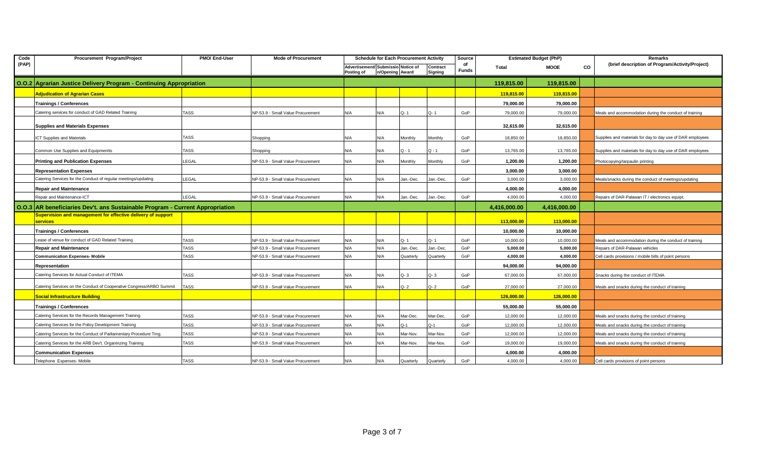| Code                                                                          | Procurement Program/Project                                              | PMO/ End-User | <b>Mode of Procurement</b>        | <b>Schedule for Each Procurement Activity</b>                                              |     |                    | Source                     |     | <b>Estimated Budget (PhP)</b> |                                                 | Remarks |                                                            |
|-------------------------------------------------------------------------------|--------------------------------------------------------------------------|---------------|-----------------------------------|--------------------------------------------------------------------------------------------|-----|--------------------|----------------------------|-----|-------------------------------|-------------------------------------------------|---------|------------------------------------------------------------|
| (PAP)                                                                         |                                                                          |               |                                   | Advertisement/ Submissio Notice of<br>Contract<br>Posting of<br>n/Opening Award<br>Signing |     | of<br><b>Funds</b> | CO<br>Total<br><b>MOOE</b> |     |                               | (brief description of Program/Activity/Project) |         |                                                            |
|                                                                               | O.O.2 Agrarian Justice Delivery Program - Continuing Appropriation       |               |                                   |                                                                                            |     |                    |                            |     | 119,815.00                    | 119,815.00                                      |         |                                                            |
|                                                                               | <b>Adjudication of Agrarian Cases</b>                                    |               |                                   |                                                                                            |     |                    |                            |     | 119,815.00                    | 119,815.00                                      |         |                                                            |
|                                                                               | <b>Trainings / Conferences</b>                                           |               |                                   |                                                                                            |     |                    |                            |     | 79,000.00                     | 79,000.00                                       |         |                                                            |
|                                                                               | Catering services for conduct of GAD Related Training                    | <b>TASS</b>   | NP-53.9 - Small Value Procurement | N/A                                                                                        | N/A | Q-1                | $Q - 1$                    | GoP | 79,000.00                     | 79,000.00                                       |         | Meals and accommodation during the conduct of training     |
|                                                                               | <b>Supplies and Materials Expenses</b>                                   |               |                                   |                                                                                            |     |                    |                            |     | 32,615.00                     | 32,615.00                                       |         |                                                            |
|                                                                               | <b>ICT Supplies and Materials</b>                                        | <b>TASS</b>   | Shopping                          | N/A                                                                                        | N/A | Monthly            | Monthly                    | GoP | 18.850.00                     | 18.850.00                                       |         | Supplies and materials for day to day use of DAR employees |
|                                                                               | Common Use Supplies and Equipmentts                                      | <b>TASS</b>   | Shopping                          | N/A                                                                                        | N/A | $Q - 1$            | $Q - 1$                    | GoP | 13,765.00                     | 13,765.00                                       |         | Supplies and materials for day to day use of DAR employees |
|                                                                               | <b>Printing and Publication Expenses</b>                                 | LEGAL         | NP-53.9 - Small Value Procurement | N/A                                                                                        | N/A | Monthly            | Monthly                    | GoP | 1,200.00                      | 1,200.00                                        |         | Photocopying/tarpaulin printing                            |
|                                                                               | <b>Representation Expenses</b>                                           |               |                                   |                                                                                            |     |                    |                            |     | 3,000.00                      | 3,000.00                                        |         |                                                            |
|                                                                               | Catering Services for the Conduct of regular meetings/updating           | LEGAL         | NP-53.9 - Small Value Procurement | N/A                                                                                        | N/A | Jan.-Dec.          | Jan.-Dec.                  | GoP | 3,000.00                      | 3,000.00                                        |         | Meals/snacks during the conduct of meetings/updating       |
|                                                                               | <b>Repair and Maintenance</b>                                            |               |                                   |                                                                                            |     |                    |                            |     | 4,000.00                      | 4,000.00                                        |         |                                                            |
|                                                                               | Repair and Maintenance-ICT                                               | LEGAL         | NP-53.9 - Small Value Procurement | N/A                                                                                        | N/A | Jan.-Dec.          | Jan.-Dec.                  | GoP | 4,000.00                      | 4,000.00                                        |         | Repairs of DAR-Palawan IT / electronics equipt.            |
| O.O.3 AR beneficiaries Dev't. ans Sustainable Program - Current Appropriation |                                                                          |               |                                   |                                                                                            |     |                    |                            |     | 4,416,000.00                  | 4,416,000.00                                    |         |                                                            |
|                                                                               | Supervision and management for effective delivery of support<br>services |               |                                   |                                                                                            |     |                    |                            |     | 113,000.00                    | 113,000.00                                      |         |                                                            |
|                                                                               | <b>Trainings / Conferences</b>                                           |               |                                   |                                                                                            |     |                    |                            |     | 10,000.00                     | 10,000.00                                       |         |                                                            |
|                                                                               | Lease of venue for conduct of GAD Related Training                       | <b>TASS</b>   | NP-53.9 - Small Value Procurement | N/A                                                                                        | N/A | Q-1                | Q-1                        | GoP | 10,000.00                     | 10,000.00                                       |         | Meals and accommodation during the conduct of training     |
|                                                                               | <b>Repair and Maintenance</b>                                            | <b>TASS</b>   | NP-53.9 - Small Value Procurement | N/A                                                                                        | N/A | Jan.-Dec           | Jan.-Dec                   | GoP | 5,000.00                      | 5,000.00                                        |         | Repairs of DAR-Palawan vehicles                            |
|                                                                               | <b>Communication Expenses- Mobile</b>                                    | <b>TASS</b>   | NP-53.9 - Small Value Procurement | N/A                                                                                        | N/A | Quarterly          | Quarterly                  | GoP | 4,000.00                      | 4,000.00                                        |         | Cell cards provisions / mobile bills of point persons      |
|                                                                               | Representation                                                           |               |                                   |                                                                                            |     |                    |                            |     | 94,000.00                     | 94,000.00                                       |         |                                                            |
|                                                                               | Catering Services for Actual Conduct of ITEMA                            | TASS          | NP-53.9 - Small Value Procurement | N/A                                                                                        | N/A | $Q - 3$            | $Q - 3$                    | GoP | 67,000.00                     | 67,000.00                                       |         | Snacks during the conduct of ITEMA                         |
|                                                                               | Catering Services on the Conduct of Cooperative Congress/ARBO Summit     | <b>TASS</b>   | NP-53.9 - Small Value Procurement | N/A                                                                                        | N/A | $Q - 2$            | $Q - 2$                    | GoP | 27,000.00                     | 27,000.00                                       |         | Meals and snacks during the conduct of training            |
|                                                                               | <b>Social Infrastructure Building</b>                                    |               |                                   |                                                                                            |     |                    |                            |     | 126,000.00                    | 126,000.00                                      |         |                                                            |
|                                                                               | <b>Trainings / Conferences</b>                                           |               |                                   |                                                                                            |     |                    |                            |     | 55,000.00                     | 55,000.00                                       |         |                                                            |
|                                                                               | Catering Services for the Records Management Training                    | TASS          | NP-53.9 - Small Value Procurement | N/A                                                                                        | N/A | Mar-Dec            | Mar-Dec.                   | GoP | 12,000.00                     | 12,000.00                                       |         | Meals and snacks during the conduct of training            |
|                                                                               | Catering Services for the Policy Development Training                    | <b>TASS</b>   | NP-53.9 - Small Value Procurement | N/A                                                                                        | N/A | Q-1                | $Q-1$                      | GoP | 12,000.00                     | 12,000.00                                       |         | Meals and snacks during the conduct of training            |
|                                                                               | Catering Services for the Conduct of Parliamentary Procedure Trng.       | TASS          | NP-53.9 - Small Value Procurement | N/A                                                                                        | N/A | Mar-Nov.           | Mar-Nov.                   | GoP | 12,000.00                     | 12,000.00                                       |         | Meals and snacks during the conduct of training            |
|                                                                               | Catering Services for the ARB Dev't. Organinzing Training                | <b>TASS</b>   | NP-53.9 - Small Value Procurement | N/A                                                                                        | N/A | Mar-Nov.           | Mar-Nov.                   | GoP | 19,000.00                     | 19,000.00                                       |         | Meals and snacks during the conduct of training            |
|                                                                               | <b>Communication Expenses</b>                                            |               |                                   |                                                                                            |     |                    |                            |     | 4,000.00                      | 4,000.00                                        |         |                                                            |
|                                                                               | Telephone Expenses- Mobile                                               | <b>TASS</b>   | NP-53.9 - Small Value Procurement | N/A                                                                                        | N/A | Quarterly          | Quarterly                  | GoP | 4,000.00                      | 4,000.00                                        |         | Cell cards provisions of point persons                     |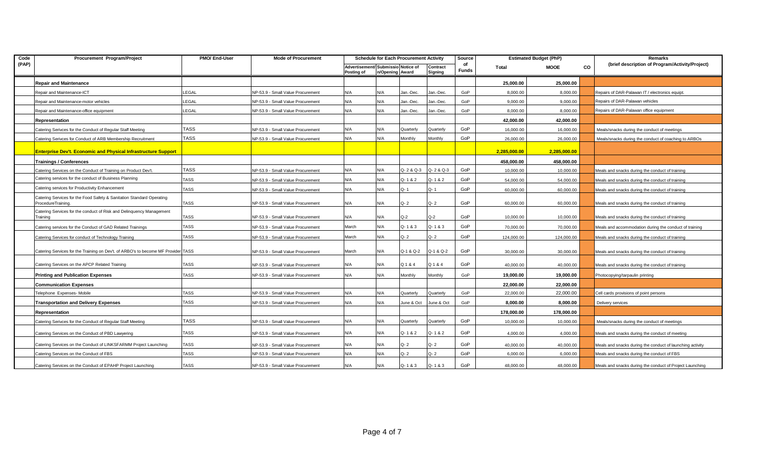| Code  | Procurement Program/Project                                                                | PMO/ End-User | <b>Mode of Procurement</b>        |                                                  |                 | <b>Schedule for Each Procurement Activity</b> |                     | Source             |              | <b>Estimated Budget (PhP)</b> |    | Remarks                                                   |
|-------|--------------------------------------------------------------------------------------------|---------------|-----------------------------------|--------------------------------------------------|-----------------|-----------------------------------------------|---------------------|--------------------|--------------|-------------------------------|----|-----------------------------------------------------------|
| (PAP) |                                                                                            |               |                                   | Advertisement/ Submissio Notice of<br>Posting of | n/Opening Award |                                               | Contract<br>Signing | of<br><b>Funds</b> | Total        | MOOE                          | CO | (brief description of Program/Activity/Project)           |
|       | Repair and Maintenance                                                                     |               |                                   |                                                  |                 |                                               |                     |                    | 25,000.00    | 25,000.00                     |    |                                                           |
|       | Repair and Maintenance-ICT                                                                 | LEGAL         | NP-53.9 - Small Value Procurement | N/A                                              | N/A             | Jan.-Dec.                                     | Jan.-Dec.           | GoP                | 8,000.00     | 8,000.00                      |    | Repairs of DAR-Palawan IT / electronics equipt.           |
|       | Repair and Maintenance-motor vehicles                                                      | LEGAL         | NP-53.9 - Small Value Procurement | N/A                                              | N/A             | Jan.-Dec.                                     | Jan.-Dec.           | GoP                | 9,000.00     | 9,000.00                      |    | Repairs of DAR-Palawan vehicles                           |
|       | Repair and Maintenance-office equipment                                                    | LEGAL         | NP-53.9 - Small Value Procurement | N/A                                              | N/A             | Jan.-Dec.                                     | Jan.-Dec.           | GoP                | 8,000.00     | 8,000.00                      |    | Repairs of DAR-Palawan office equipment                   |
|       | Representation                                                                             |               |                                   |                                                  |                 |                                               |                     |                    | 42,000.00    | 42,000.00                     |    |                                                           |
|       | Catering Serivces for the Conduct of Regular Staff Meeting                                 | <b>TASS</b>   | NP-53.9 - Small Value Procurement | N/A                                              | N/A             | Quarterly                                     | Quarterly           | GoP                | 16,000.00    | 16,000.00                     |    | Meals/snacks during the conduct of meetings               |
|       | Catering Serivces for Conduct of ARB Membership Recruitment                                | <b>TASS</b>   | NP-53.9 - Small Value Procurement | N/A                                              | N/A             | Monthly                                       | Monthly             | GoP                | 26,000.00    | 26,000.00                     |    | Meals/snacks during the conduct of coaching to ARBOs      |
|       | <b>Enterprise Dev't. Economic and Physical Infrastructure Support</b>                      |               |                                   |                                                  |                 |                                               |                     |                    | 2,285,000.00 | 2,285,000.00                  |    |                                                           |
|       | <b>Trainings / Conferences</b>                                                             |               |                                   |                                                  |                 |                                               |                     |                    | 458,000.00   | 458,000.00                    |    |                                                           |
|       | Catering Services on the Conduct of Training on Product Dev't.                             | <b>TASS</b>   | NP-53.9 - Small Value Procurement | N/A                                              | N/A             | Q-2&Q-3                                       | Q-2 & Q-3           | GoP                | 10,000.00    | 10,000.00                     |    | Meals and snacks during the conduct of training           |
|       | Catering services for the conduct of Business Planning                                     | TASS          | NP-53.9 - Small Value Procurement | N/A                                              | N/A             | Q-1&2                                         | Q-1&2               | GoP                | 54,000.00    | 54,000.00                     |    | Meals and snacks during the conduct of training           |
|       | Catering services for Productivity Enhancement                                             | TASS          | NP-53.9 - Small Value Procurement | N/A                                              | N/A             | Q- 1                                          | Q-1                 | GoP                | 60,000.00    | 60,000.00                     |    | Meals and snacks during the conduct of training           |
|       | Catering Services for the Food Safety & Sanitation Standard Operating<br>ProcedureTraining | <b>TASS</b>   | NP-53.9 - Small Value Procurement | N/A                                              | N/A             | $Q - 2$                                       | Q-2                 | GoP                | 60,000.00    | 60,000.00                     |    | Meals and snacks during the conduct of training           |
|       | Catering Services for the conduct of Risk and Delinquency Management<br>Training           | <b>TASS</b>   | NP-53.9 - Small Value Procurement | N/A                                              | N/A             | Q-2                                           | $Q-2$               | GoP                | 10,000.00    | 10,000.00                     |    | Meals and snacks during the conduct of training           |
|       | Catering services for the Conduct of GAD Related Trainings                                 | <b>TASS</b>   | NP-53.9 - Small Value Procurement | March                                            | N/A             | $Q - 1 & 8 & 3$                               | $Q - 1 & 8 & 3$     | GoP                | 70,000.00    | 70,000.00                     |    | Meals and accommodation during the conduct of training    |
|       | Catering Services for conduct of Technology Training                                       | <b>TASS</b>   | NP-53.9 - Small Value Procurement | March                                            | N/A             | $Q - 2$                                       | $Q - 2$             | GoP                | 124,000.00   | 124,000.00                    |    | Meals and snacks during the conduct of training           |
|       | Catering Services for the Training on Dev't. of ARBO's to become MF Provider TASS          |               | NP-53.9 - Small Value Procurement | March                                            | N/A             | Q-1 & Q-2                                     | Q-1 & Q-2           | GoP                | 30,000.00    | 30,000.00                     |    | Meals and snacks during the conduct of training           |
|       | Catering Services on the APCP Related Training                                             | TASS          | NP-53.9 - Small Value Procurement | N/A                                              | N/A             | Q 1 & 4                                       | Q 1 & 4             | GoP                | 40,000.00    | 40,000.00                     |    | Meals and snacks during the conduct of training           |
|       | Printing and Publication Expenses                                                          | TASS          | NP-53.9 - Small Value Procurement | N/A                                              | N/A             | Monthly                                       | Monthly             | GoP                | 19,000.00    | 19,000.00                     |    | Photocopying/tarpaulin printing                           |
|       | <b>Communication Expenses</b>                                                              |               |                                   |                                                  |                 |                                               |                     |                    | 22,000.00    | 22,000.00                     |    |                                                           |
|       | Telephone Expenses-Mobile                                                                  | TASS          | NP-53.9 - Small Value Procurement | N/A                                              | N/A             | Quarterly                                     | Quarterly           | GoP                | 22,000.00    | 22,000.00                     |    | Cell cards provisions of point persons                    |
|       | <b>Transportation and Delivery Expenses</b>                                                | <b>TASS</b>   | NP-53.9 - Small Value Procurement | N/A                                              | N/A             | June & Oct                                    | June & Oct          | GoP                | 8,000.00     | 8,000.00                      |    | Delivery services                                         |
|       | Representation                                                                             |               |                                   |                                                  |                 |                                               |                     |                    | 178,000.00   | 178,000.00                    |    |                                                           |
|       | Catering Serivces for the Conduct of Regular Staff Meeting                                 | <b>TASS</b>   | NP-53.9 - Small Value Procurement | N/A                                              | N/A             | Quarterly                                     | Quarterly           | GoP                | 10,000.00    | 10,000.00                     |    | Meals/snacks during the conduct of meetings               |
|       | Catering Services on the Conduct of PBD Lawyering                                          | TASS          | NP-53.9 - Small Value Procurement | N/A                                              | N/A             | Q-1&2                                         | Q-1&2               | GoP                | 4,000.00     | 4,000.00                      |    | Meals and snacks during the conduct of meeting            |
|       | Catering Services on the Conduct of LINKSFARMM Project Launching                           | <b>TASS</b>   | NP-53.9 - Small Value Procurement | N/A                                              | N/A             | Q- 2                                          | Q-2                 | GoP                | 40,000.00    | 40,000.00                     |    | Meals and snacks during the conduct of launching activity |
|       | Catering Services on the Conduct of FBS                                                    | TASS          | NP-53.9 - Small Value Procurement | N/A                                              | N/A             | Q-2                                           | $Q - 2$             | GoP                | 6,000.00     | 6,000.00                      |    | Meals and snacks during the conduct of FBS                |
|       | Catering Services on the Conduct of EPAHP Project Launching                                | <b>TASS</b>   | NP-53.9 - Small Value Procurement | N/A                                              | N/A             | $Q - 1 & 8 & 3$                               | $Q - 1 & 8 & 3$     | GoP                | 48.000.00    | 48,000.00                     |    | Meals and snacks during the conduct of Project Launching  |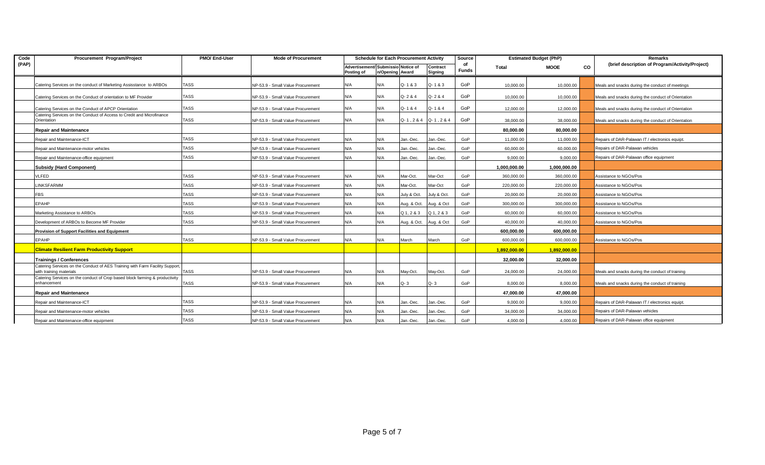| Code  | Procurement Program/Project                                                                            | PMO/ End-User | <b>Mode of Procurement</b>        |                                                  |                 | <b>Schedule for Each Procurement Activity</b> |                     | Source             | <b>Estimated Budget (PhP)</b> |              | Remarks |                                                    |
|-------|--------------------------------------------------------------------------------------------------------|---------------|-----------------------------------|--------------------------------------------------|-----------------|-----------------------------------------------|---------------------|--------------------|-------------------------------|--------------|---------|----------------------------------------------------|
| (PAP) |                                                                                                        |               |                                   | Advertisement/ Submissio Notice of<br>Posting of | n/Opening Award |                                               | Contract<br>Signing | of<br><b>Funds</b> | Total                         | <b>MOOE</b>  | CO      | (brief description of Program/Activity/Project)    |
|       | Catering Services on the conduct of Marketing Assisstance to ARBOs                                     | TASS          | NP-53.9 - Small Value Procurement | N/A                                              | N/A             | $Q - 1 & 8 & 3$                               | Q-1&3               | GoP                | 10,000.00                     | 10,000.00    |         | Meals and snacks during the conduct of meetings    |
|       | Catering Services on the Conduct of orientation to MF Provider                                         | <b>TASS</b>   | NP-53.9 - Small Value Procurement | N/A                                              | N/A             | Q-2&4                                         | Q-2&4               | GoP                | 10,000.00                     | 10,000.00    |         | Meals and snacks during the conduct of Orientation |
|       | Catering Services on the Conduct of APCP Orientation                                                   | <b>TASS</b>   | NP-53.9 - Small Value Procurement | N/A                                              | N/A             | Q-1&4                                         | Q-1&4               | GoP                | 12,000.00                     | 12,000.00    |         | Meals and snacks during the conduct of Orientation |
|       | Catering Services on the Conduct of Access to Credit and Microfinance<br>Orientation                   | <b>TASS</b>   | NP-53.9 - Small Value Procurement | N/A                                              | N/A             | $Q - 1$ , 2 & 4 $Q - 1$ , 2 & 4               |                     | GoP                | 38,000.00                     | 38,000.00    |         | Meals and snacks during the conduct of Orientation |
|       | <b>Repair and Maintenance</b>                                                                          |               |                                   |                                                  |                 |                                               |                     |                    | 80,000.00                     | 80.000.00    |         |                                                    |
|       | Repair and Maintenance-ICT                                                                             | <b>TASS</b>   | NP-53.9 - Small Value Procurement | N/A                                              | N/A             | Jan.-Dec.                                     | Jan.-Dec.           | GoP                | 11,000.00                     | 11,000.00    |         | Repairs of DAR-Palawan IT / electronics equipt.    |
|       | Repair and Maintenance-motor vehicles                                                                  | <b>TASS</b>   | NP-53.9 - Small Value Procurement | N/A                                              | N/A             | Jan.-Dec.                                     | Jan.-Dec.           | GoP                | 60,000.00                     | 60,000.00    |         | Repairs of DAR-Palawan vehicles                    |
|       | Repair and Maintenance-office equipment                                                                | <b>TASS</b>   | NP-53.9 - Small Value Procurement | N/A                                              | N/A             | Jan.-Dec.                                     | Jan.-Dec.           | GoP                | 9,000.00                      | 9,000.00     |         | Repairs of DAR-Palawan office equipment            |
|       | <b>Subsidy (Hard Component)</b>                                                                        |               |                                   |                                                  |                 |                                               |                     |                    | 1,000,000.00                  | 1,000,000.00 |         |                                                    |
|       | <b>/LFED</b>                                                                                           | TASS          | NP-53.9 - Small Value Procurement | N/A                                              | N/A             | Mar-Oct.                                      | Mar-Oct             | GoP                | 360,000.00                    | 360,000.00   |         | Assistance to NGOs/Pos                             |
|       | <b>INKSFARMM</b>                                                                                       | <b>TASS</b>   | NP-53.9 - Small Value Procurement | N/A                                              | N/A             | Mar-Oct.                                      | Mar-Oct             | GoP                | 220.000.00                    | 220.000.00   |         | Assistance to NGOs/Pos                             |
|       | <b>FBS</b>                                                                                             | <b>TASS</b>   | NP-53.9 - Small Value Procurement | N/A                                              | N/A             | July & Oct.                                   | July & Oct.         | GoP                | 20,000.00                     | 20,000.00    |         | Assistance to NGOs/Pos                             |
|       | <b>EPAHP</b>                                                                                           | <b>TASS</b>   | NP-53.9 - Small Value Procurement | N/A                                              | N/A             | Aug. & Oct. Aug. & Oct                        |                     | GoP                | 300,000.00                    | 300,000.00   |         | Assistance to NGOs/Pos                             |
|       | Marketing Assistance to ARBOs                                                                          | <b>TASS</b>   | NP-53.9 - Small Value Procurement | N/A                                              | N/A             | $Q_1, 2 & 3$                                  | Q 1, 2 & 3          | GoP                | 60,000.00                     | 60,000.00    |         | Assistance to NGOs/Pos                             |
|       | Development of ARBOs to Become MF Provider                                                             | <b>TASS</b>   | NP-53.9 - Small Value Procurement | N/A                                              | N/A             | Aug. & Oct. Aug. & Oct                        |                     | GoP                | 40,000.00                     | 40,000.00    |         | Assistance to NGOs/Pos                             |
|       | Provision of Support Facilities and Equipment                                                          |               |                                   |                                                  |                 |                                               |                     |                    | 600.000.00                    | 600.000.00   |         |                                                    |
|       | <b>EPAHP</b>                                                                                           | TASS          | NP-53.9 - Small Value Procurement | N/A                                              | N/A             | March                                         | March               | GoP                | 600,000.00                    | 600,000.00   |         | Assistance to NGOs/Pos                             |
|       | <b>Climate Resilient Farm Productivity Support</b>                                                     |               |                                   |                                                  |                 |                                               |                     |                    | 1,892,000.00                  | 1,892,000.00 |         |                                                    |
|       | <b>Trainings / Conferences</b>                                                                         |               |                                   |                                                  |                 |                                               |                     |                    | 32,000.00                     | 32.000.00    |         |                                                    |
|       | Catering Services on the Conduct of AES Training with Farm Facility Support<br>with training materials | <b>TASS</b>   | NP-53.9 - Small Value Procurement | N/A                                              | N/A             | May-Oct.                                      | May-Oct.            | GoP                | 24.000.00                     | 24,000.00    |         | Meals and snacks during the conduct of training    |
|       | Catering Services on the conduct of Crop based block farming & productivity<br>enhancement             | TASS          | NP-53.9 - Small Value Procurement | N/A                                              | N/A             | $Q - 3$                                       | $Q - 3$             | GoP                | 8,000.00                      | 8,000.00     |         | Meals and snacks during the conduct of training    |
|       | <b>Repair and Maintenance</b>                                                                          |               |                                   |                                                  |                 |                                               |                     |                    | 47,000.00                     | 47,000.00    |         |                                                    |
|       | Repair and Maintenance-ICT                                                                             | <b>TASS</b>   | NP-53.9 - Small Value Procurement | N/A                                              | N/A             | Jan.-Dec.                                     | Jan.-Dec.           | GoP                | 9.000.00                      | 9.000.00     |         | Repairs of DAR-Palawan IT / electronics equipt.    |
|       | Repair and Maintenance-motor vehicles                                                                  | <b>TASS</b>   | NP-53.9 - Small Value Procurement | N/A                                              | N/A             | Jan.-Dec.                                     | Jan.-Dec.           | GoP                | 34,000.00                     | 34,000.00    |         | Repairs of DAR-Palawan vehicles                    |
|       | Repair and Maintenance-office equipment                                                                | <b>TASS</b>   | NP-53.9 - Small Value Procurement | N/A                                              | N/A             | Jan.-Dec.                                     | Jan.-Dec.           | GoP                | 4.000.00                      | 4.000.00     |         | Repairs of DAR-Palawan office equipment            |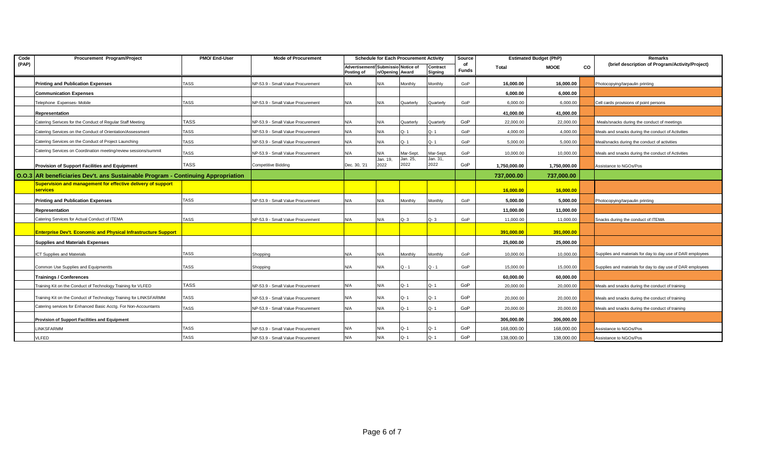| Code  | Procurement Program/Project                                                      | PMO/ End-User | <b>Mode of Procurement</b>        |                                                  |                  | <b>Schedule for Each Procurement Activity</b> |                     | Source             |              | <b>Estimated Budget (PhP)</b> |    | Remarks                                                    |
|-------|----------------------------------------------------------------------------------|---------------|-----------------------------------|--------------------------------------------------|------------------|-----------------------------------------------|---------------------|--------------------|--------------|-------------------------------|----|------------------------------------------------------------|
| (PAP) |                                                                                  |               |                                   | Advertisement/ Submissio Notice of<br>Posting of | n/Opening Award  |                                               | Contract<br>Signing | of<br><b>Funds</b> | Total        | MOOE                          | CO | (brief description of Program/Activity/Project)            |
|       | <b>Printing and Publication Expenses</b>                                         | <b>TASS</b>   | NP-53.9 - Small Value Procurement | N/A                                              | N/A              | Monthly                                       | Monthly             | GoP                | 16,000.00    | 16,000.00                     |    | Photocopying/tarpaulin printing                            |
|       | <b>Communication Expenses</b>                                                    |               |                                   |                                                  |                  |                                               |                     |                    | 6.000.00     | 6,000.00                      |    |                                                            |
|       | Telephone Expenses-Mobile                                                        | TASS          | NP-53.9 - Small Value Procurement | N/A                                              | N/A              | Quarterly                                     | Quarterly           | GoP                | 6,000.00     | 6,000.00                      |    | Cell cards provisions of point persons                     |
|       | Representation                                                                   |               |                                   |                                                  |                  |                                               |                     |                    | 41,000.00    | 41,000.00                     |    |                                                            |
|       | Catering Serivces for the Conduct of Regular Staff Meeting                       | <b>TASS</b>   | NP-53.9 - Small Value Procurement | N/A                                              | N/A              | Quarterly                                     | Quarterly           | GoP                | 22,000.00    | 22,000.00                     |    | Meals/snacks during the conduct of meetings                |
|       | Catering Services on the Conduct of Orientation/Assessment                       | <b>TASS</b>   | NP-53.9 - Small Value Procurement | N/A                                              | N/A              | Q-1                                           | Q-1                 | GoP                | 4,000.00     | 4,000.00                      |    | Meals and snacks during the conduct of Activities          |
|       | Catering Services on the Conduct of Project Launching                            | TASS          | NP-53.9 - Small Value Procurement | N/A                                              | N/A              | Q-1                                           | Q-1                 | GoP                | 5,000.00     | 5,000.00                      |    | Meal/snacks during the conduct of activities               |
|       | Catering Services on Coordination meeting/review sessions/summit                 | <b>TASS</b>   | NP-53.9 - Small Value Procurement | N/A                                              | N/A              | Mar-Sept.                                     | Mar-Sept            | GoP                | 10,000.00    | 10,000.00                     |    | Meals and snacks during the conduct of Activities          |
|       | Provision of Support Facilities and Equipment                                    | <b>TASS</b>   | <b>Competitive Bidding</b>        | Dec. 30, '21                                     | Jan. 19,<br>2022 | Jan. 25,<br>2022                              | Jan. 31,<br>2022    | GoP                | 1,750,000.00 | 1,750,000.00                  |    | Assistance to NGOs/Pos                                     |
|       | O.O.3 AR beneficiaries Dev't. ans Sustainable Program - Continuing Appropriation |               |                                   |                                                  |                  |                                               |                     |                    | 737,000.00   | 737,000.00                    |    |                                                            |
|       | Supervision and management for effective delivery of support<br><b>services</b>  |               |                                   |                                                  |                  |                                               |                     |                    | 16,000.00    | 16,000.00                     |    |                                                            |
|       | <b>Printing and Publication Expenses</b>                                         | TASS          | NP-53.9 - Small Value Procurement | N/A                                              | N/A              | Monthly                                       | Monthly             | GoP                | 5.000.00     | 5.000.00                      |    | Photocopying/tarpaulin printing                            |
|       | Representation                                                                   |               |                                   |                                                  |                  |                                               |                     |                    | 11,000.00    | 11,000.00                     |    |                                                            |
|       | Catering Services for Actual Conduct of ITEMA                                    | TASS          | NP-53.9 - Small Value Procurement | N/A                                              | N/A              | $Q - 3$                                       | $Q - 3$             | GoP                | 11,000.00    | 11,000.00                     |    | Snacks during the conduct of ITEMA                         |
|       | <b>Enterprise Dev't. Economic and Physical Infrastructure Support</b>            |               |                                   |                                                  |                  |                                               |                     |                    | 391.000.00   | 391.000.00                    |    |                                                            |
|       | <b>Supplies and Materials Expenses</b>                                           |               |                                   |                                                  |                  |                                               |                     |                    | 25,000.00    | 25,000.00                     |    |                                                            |
|       | <b>ICT Supplies and Materials</b>                                                | TASS          | Shopping                          | N/A                                              | N/A              | Monthly                                       | Monthly             | GoP                | 10.000.00    | 10,000.00                     |    | Supplies and materials for day to day use of DAR employees |
|       | Common Use Supplies and Equipmentts                                              | TASS          | Shopping                          | N/A                                              | N/A              | Q - 1                                         | $Q - 1$             | GoP                | 15,000.00    | 15,000.00                     |    | Supplies and materials for day to day use of DAR employees |
|       | <b>Trainings / Conferences</b>                                                   |               |                                   |                                                  |                  |                                               |                     |                    | 60.000.00    | 60.000.00                     |    |                                                            |
|       | Training Kit on the Conduct of Technology Training for VLFED                     | <b>TASS</b>   | NP-53.9 - Small Value Procurement | N/A                                              | N/A              | Q-1                                           | $Q - 1$             | GoP                | 20,000.00    | 20,000.00                     |    | Meals and snacks during the conduct of training            |
|       | Training Kit on the Conduct of Technology Training for LINKSFARMM                | TASS          | NP-53.9 - Small Value Procurement | N/A                                              | N/A              | Q-1                                           | Q-1                 | GoP                | 20.000.00    | 20,000.00                     |    | Meals and snacks during the conduct of training            |
|       | Catering services for Enhanced Basic Acctg. For Non-Accountants                  | <b>TASS</b>   | NP-53.9 - Small Value Procurement | N/A                                              | N/A              | Q-1                                           | $Q - 1$             | GoP                | 20,000.00    | 20,000.00                     |    | Meals and snacks during the conduct of training            |
|       | Provision of Support Facilities and Equipment                                    |               |                                   |                                                  |                  |                                               |                     |                    | 306.000.00   | 306.000.00                    |    |                                                            |
|       | LINKSFARMM                                                                       | <b>TASS</b>   | NP-53.9 - Small Value Procurement | N/A                                              | N/A              | Q-1                                           | Q-1                 | GoP                | 168,000.00   | 168,000.00                    |    | Assistance to NGOs/Pos                                     |
|       | VLFED                                                                            | <b>TASS</b>   | NP-53.9 - Small Value Procurement | N/A                                              | N/A              | $O - 1$                                       | Q-1                 | GoP                | 138,000.00   | 138,000.00                    |    | Assistance to NGOs/Pos                                     |